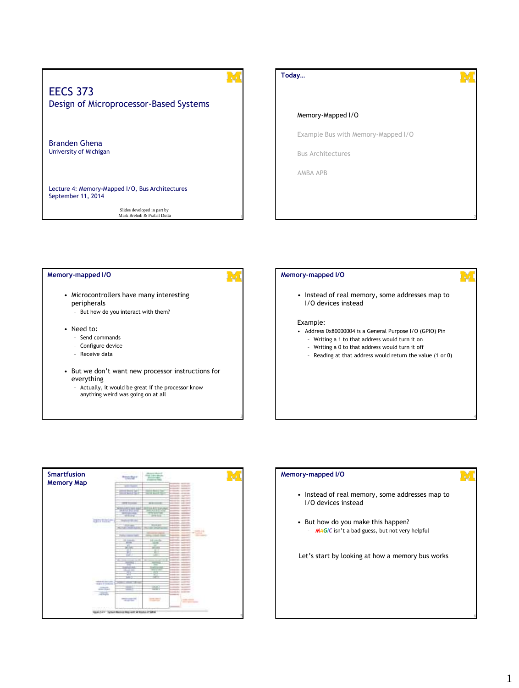# EECS 373 Design of Microprocessor-Based Systems

Branden Ghena University of Michigan

Lecture 4: Memory-Mapped I/O, Bus Architectures September 11, 2014

Slides developed in part by Mark Brehob & Prabal Dutta



#### **Memory-mapped I/O**

- Microcontrollers have many interesting peripherals
	- But how do you interact with them?
- Need to:
- Send commands
- Configure device
- Receive data
- But we don't want new processor instructions for everything
	- Actually, it would be great if the processor know anything weird was going on at all



**1**

• Instead of real memory, some addresses map to I/O devices instead

#### Example:

- Address 0x80000004 is a General Purpose I/O (GPIO) Pin
	- Writing a 1 to that address would turn it on
	- Writing a 0 to that address would turn it off
	- Reading at that address would return the value (1 or 0)



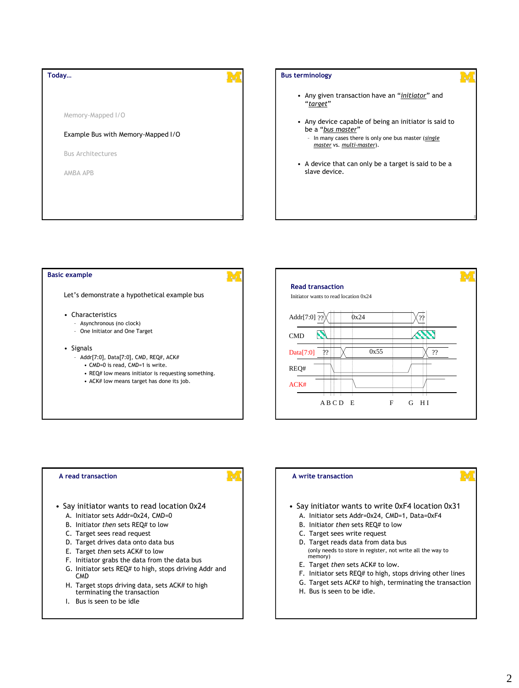# **Today…** Memory-Mapped I/O Example Bus with Memory-Mapped I/O Bus Architectures AMBA APB **Bus terminology** "*target*" slave device.

**7**

- Any given transaction have an "*initiator*" and
- Any device capable of being an initiator is said to be a "*bus master*"
	- In many cases there is only one bus master (*single master* vs. *multi-master*).
- A device that can only be a target is said to be a

**8**

#### **Basic example**

Let's demonstrate a hypothetical example bus

- Characteristics
	- Asynchronous (no clock)
	- One Initiator and One Target

#### • Signals

- Addr[7:0], Data[7:0], CMD, REQ#, ACK#
	- CMD=0 is read, CMD=1 is write.
	- REQ# low means initiator is requesting something.
	- ACK# low means target has done its job.



#### **A read transaction**

- Say initiator wants to read location 0x24 A. Initiator sets Addr=0x24, CMD=0
	- B. Initiator *then* sets REQ# to low
	- C. Target sees read request
	- D. Target drives data onto data bus
	- E. Target *then* sets ACK# to low
	- F. Initiator grabs the data from the data bus
	- G. Initiator sets REQ# to high, stops driving Addr and
	- CMD
	- H. Target stops driving data, sets ACK# to high terminating the transaction
	- I. Bus is seen to be idle

#### **A write transaction**

- Say initiator wants to write 0xF4 location 0x31 A. Initiator sets Addr=0x24, CMD=1, Data=0xF4
	- B. Initiator *then* sets REQ# to low
	- C. Target sees write request
	-
	- D. Target reads data from data bus (only needs to store in register, not write all the way to memory)
	- E. Target *then* sets ACK# to low.
	- F. Initiator sets REQ# to high, stops driving other lines
	- G. Target sets ACK# to high, terminating the transaction
	- H. Bus is seen to be idle.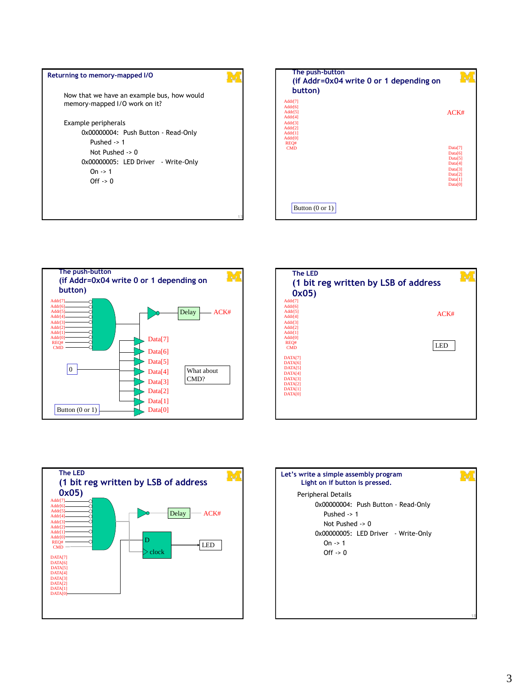









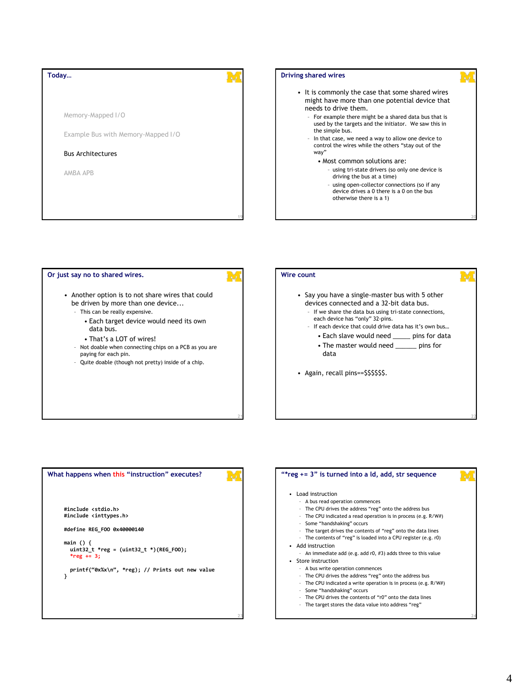#### **Today…**

Memory-Mapped I/O Example Bus with Memory-Mapped I/O Bus Architectures AMBA APB **19 Driving shared wires** • It is commonly the case that some shared wires might have more than one potential device that needs to drive them. – For example there might be a shared data bus that is used by the targets and the initiator. We saw this in the simple bus. – In that case, we need a way to allow one device to control the wires while the others "stay out of the way" • Most common solutions are: using tri-state drivers (so only one device is driving the bus at a time) – using open-collector connections (so if any device drives a 0 there is a 0 on the bus otherwise there is a 1)

#### **Or just say no to shared wires.**

- Another option is to not share wires that could be driven by more than one device...
	- This can be really expensive.
		- Each target device would need its own data bus.
		- That's a LOT of wires!
	- Not doable when connecting chips on a PCB as you are paying for each pin.
	- Quite doable (though not pretty) inside of a chip.

## **Wire count** • Say you have a single-master bus with 5 other devices connected and a 32-bit data bus. – If we share the data bus using tri-state connections, each device has "only" 32-pins.

– If each device that could drive data has it's own bus… • Each slave would need \_\_\_\_\_ pins for data **20**

- The master would need \_\_\_\_\_\_ pins for data
- Again, recall pins==\$\$\$\$\$\$.



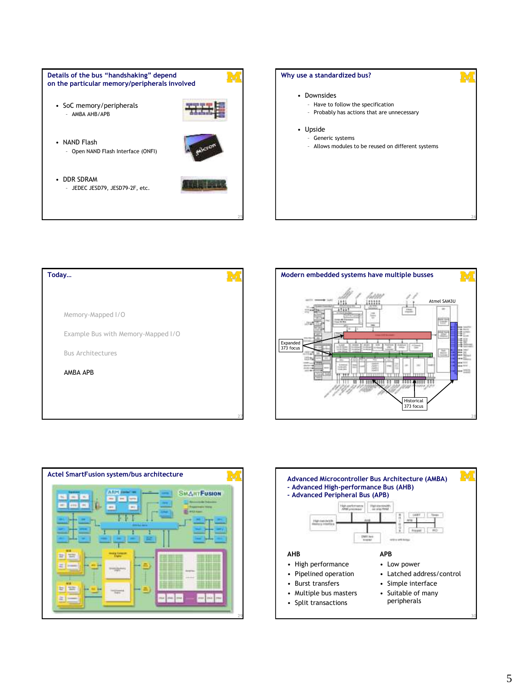

**25**







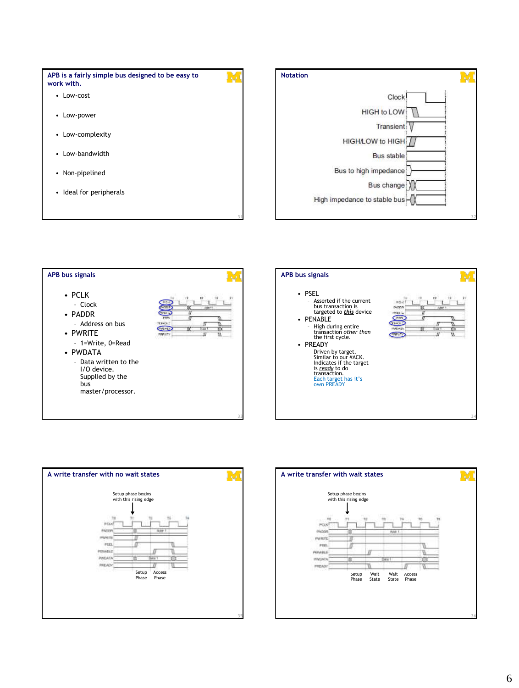

- Low-power
- Low-complexity
- Low-bandwidth
- Non-pipelined
- Ideal for peripherals







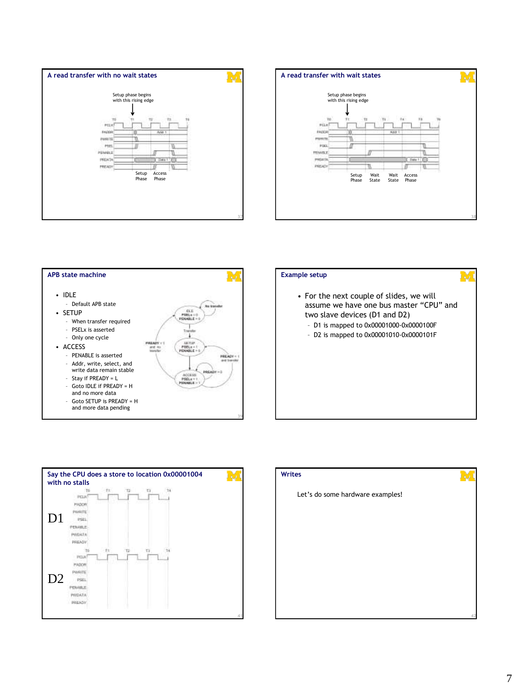







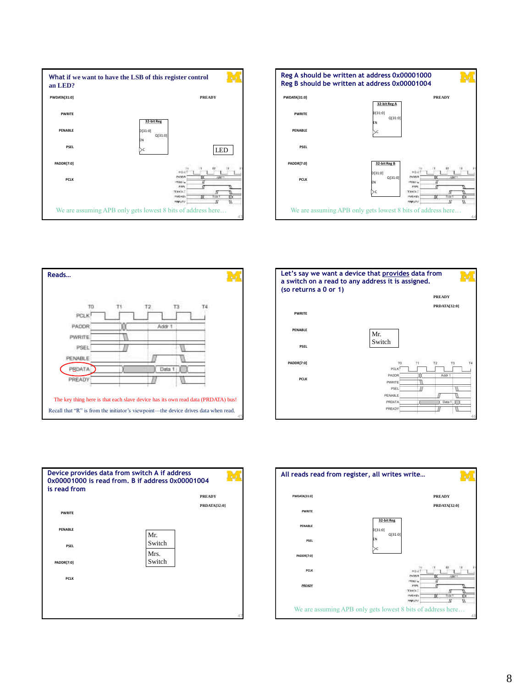







| is read from   | Device provides data from switch A if address<br>0x00001000 is read from. B if address 0x00001004 |  |
|----------------|---------------------------------------------------------------------------------------------------|--|
|                | <b>PREADY</b>                                                                                     |  |
|                | <b>PRDATA[32:0]</b>                                                                               |  |
| <b>PWRITE</b>  |                                                                                                   |  |
|                |                                                                                                   |  |
| <b>PFNABLE</b> | Mr.                                                                                               |  |
|                | Switch                                                                                            |  |
| <b>PSFL</b>    |                                                                                                   |  |
|                | Mrs.                                                                                              |  |
| PADDR[7:0]     | Switch                                                                                            |  |
|                |                                                                                                   |  |
| PCLK           |                                                                                                   |  |
|                |                                                                                                   |  |
|                |                                                                                                   |  |
|                |                                                                                                   |  |
|                |                                                                                                   |  |